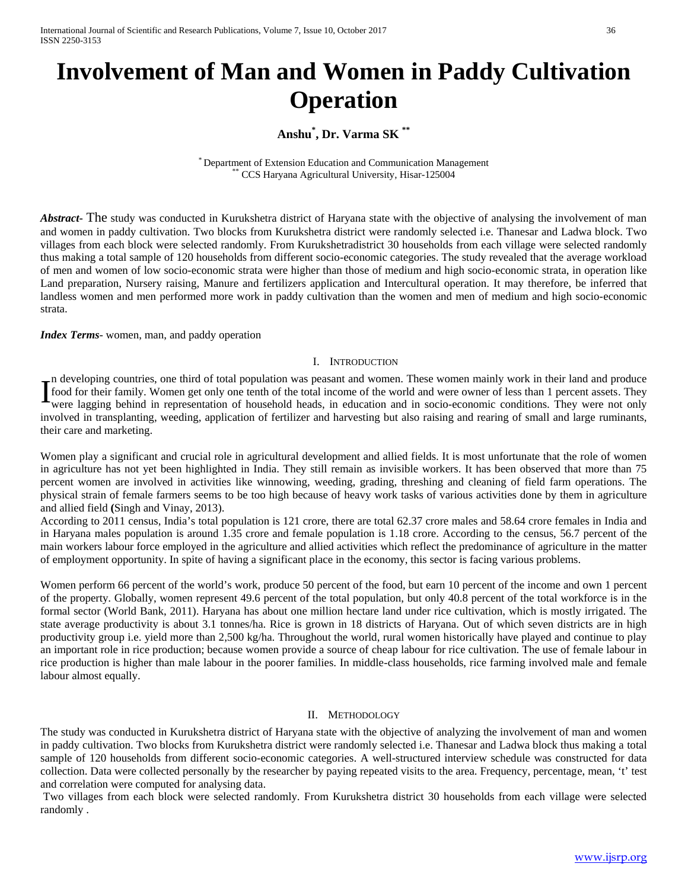# **Involvement of Man and Women in Paddy Cultivation Operation**

# **Anshu\* , Dr. Varma SK \*\***

\* Department of Extension Education and Communication Management \*\* CCS Haryana Agricultural University, Hisar-125004

*Abstract* The study was conducted in Kurukshetra district of Haryana state with the objective of analysing the involvement of man and women in paddy cultivation. Two blocks from Kurukshetra district were randomly selected i.e. Thanesar and Ladwa block. Two villages from each block were selected randomly. From Kurukshetradistrict 30 households from each village were selected randomly thus making a total sample of 120 households from different socio-economic categories. The study revealed that the average workload of men and women of low socio-economic strata were higher than those of medium and high socio-economic strata, in operation like Land preparation, Nursery raising, Manure and fertilizers application and Intercultural operation. It may therefore, be inferred that landless women and men performed more work in paddy cultivation than the women and men of medium and high socio-economic strata.

*Index Terms*- women, man, and paddy operation

#### I. INTRODUCTION

n developing countries, one third of total population was peasant and women. These women mainly work in their land and produce food for their family. Women get only one tenth of the total income of the world and were owner of less than 1 percent assets. They were lagging behind in representation of household heads, in education and in socio-economic conditions. They were not only involved in transplanting, weeding, application of fertilizer and harvesting but also raising and rearing of small and large ruminants, their care and marketing. I

Women play a significant and crucial role in agricultural development and allied fields. It is most unfortunate that the role of women in agriculture has not yet been highlighted in India. They still remain as invisible workers. It has been observed that more than 75 percent women are involved in activities like winnowing, weeding, grading, threshing and cleaning of field farm operations. The physical strain of female farmers seems to be too high because of heavy work tasks of various activities done by them in agriculture and allied field **(**Singh and Vinay, 2013).

According to 2011 census, India's total population is 121 crore, there are total 62.37 crore males and 58.64 crore females in India and in Haryana males population is around 1.35 crore and female population is 1.18 crore. According to the census, 56.7 percent of the main workers labour force employed in the agriculture and allied activities which reflect the predominance of agriculture in the matter of employment opportunity. In spite of having a significant place in the economy, this sector is facing various problems.

Women perform 66 percent of the world's work, produce 50 percent of the food, but earn 10 percent of the income and own 1 percent of the property. Globally, women represent 49.6 percent of the total population, but only 40.8 percent of the total workforce is in the formal sector (World Bank, 2011). Haryana has about one million hectare land under rice cultivation, which is mostly irrigated. The state average productivity is about 3.1 tonnes/ha. Rice is grown in 18 districts of Haryana. Out of which seven districts are in high productivity group i.e. yield more than 2,500 kg/ha. Throughout the world, rural women historically have played and continue to play an important role in rice production; because women provide a source of cheap labour for rice cultivation. The use of female labour in rice production is higher than male labour in the poorer families. In middle-class households, rice farming involved male and female labour almost equally.

#### II. METHODOLOGY

The study was conducted in Kurukshetra district of Haryana state with the objective of analyzing the involvement of man and women in paddy cultivation. Two blocks from Kurukshetra district were randomly selected i.e. Thanesar and Ladwa block thus making a total sample of 120 households from different socio-economic categories. A well-structured interview schedule was constructed for data collection. Data were collected personally by the researcher by paying repeated visits to the area. Frequency, percentage, mean, 't' test and correlation were computed for analysing data.

Two villages from each block were selected randomly. From Kurukshetra district 30 households from each village were selected randomly .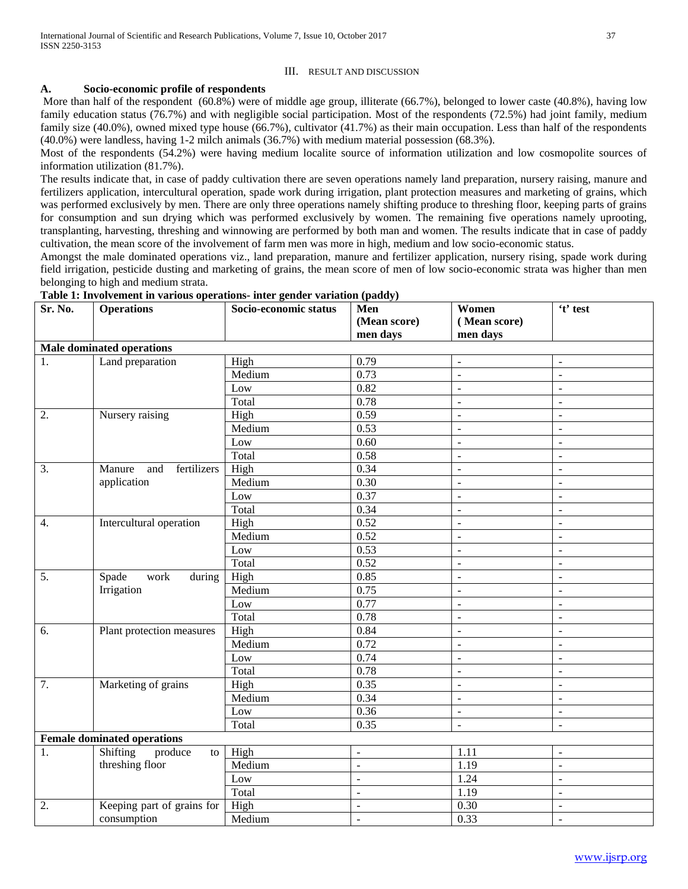## III. RESULT AND DISCUSSION

## **A. Socio-economic profile of respondents**

More than half of the respondent (60.8%) were of middle age group, illiterate (66.7%), belonged to lower caste (40.8%), having low family education status (76.7%) and with negligible social participation. Most of the respondents (72.5%) had joint family, medium family size (40.0%), owned mixed type house (66.7%), cultivator (41.7%) as their main occupation. Less than half of the respondents (40.0%) were landless, having 1-2 milch animals (36.7%) with medium material possession (68.3%).

Most of the respondents (54.2%) were having medium localite source of information utilization and low cosmopolite sources of information utilization (81.7%).

The results indicate that, in case of paddy cultivation there are seven operations namely land preparation, nursery raising, manure and fertilizers application, intercultural operation, spade work during irrigation, plant protection measures and marketing of grains, which was performed exclusively by men. There are only three operations namely shifting produce to threshing floor, keeping parts of grains for consumption and sun drying which was performed exclusively by women. The remaining five operations namely uprooting, transplanting, harvesting, threshing and winnowing are performed by both man and women. The results indicate that in case of paddy cultivation, the mean score of the involvement of farm men was more in high, medium and low socio-economic status.

Amongst the male dominated operations viz., land preparation, manure and fertilizer application, nursery rising, spade work during field irrigation, pesticide dusting and marketing of grains, the mean score of men of low socio-economic strata was higher than men belonging to high and medium strata.

| Sr. No.                            | <b>Operations</b>                | Socio-economic status | Men                      | Women                    | 't' test                 |  |
|------------------------------------|----------------------------------|-----------------------|--------------------------|--------------------------|--------------------------|--|
|                                    |                                  |                       | (Mean score)             | (Mean score)             |                          |  |
|                                    |                                  |                       | men days                 | men days                 |                          |  |
|                                    | <b>Male dominated operations</b> |                       |                          |                          |                          |  |
| 1.                                 | Land preparation                 | High                  | 0.79                     | $\sim$                   | $\sim$                   |  |
|                                    |                                  | Medium                | 0.73                     | $\overline{a}$           | $\equiv$                 |  |
|                                    |                                  | Low                   | 0.82                     | $\overline{\phantom{a}}$ | $\bar{\phantom{a}}$      |  |
|                                    |                                  | Total                 | 0.78                     | $\overline{\phantom{a}}$ | $\overline{\phantom{a}}$ |  |
| $\overline{2}$ .                   | Nursery raising                  | High                  | 0.59                     | $\blacksquare$           | $\overline{\phantom{a}}$ |  |
|                                    |                                  | Medium                | 0.53                     | $\overline{a}$           | $\mathbb{Z}$             |  |
|                                    |                                  | Low                   | 0.60                     | $\sim$                   | $\sim$                   |  |
|                                    |                                  | Total                 | 0.58                     | $\sim$                   | $\sim$                   |  |
| 3.                                 | fertilizers<br>Manure<br>and     | High                  | 0.34                     | $\omega$                 | $\equiv$                 |  |
|                                    | application                      | Medium                | 0.30                     | $\overline{\phantom{a}}$ | $\overline{\phantom{a}}$ |  |
|                                    |                                  | Low                   | 0.37                     | $\blacksquare$           | $\blacksquare$           |  |
|                                    |                                  | Total                 | 0.34                     | $\overline{\phantom{a}}$ | $\blacksquare$           |  |
| $\overline{4}$ .                   | Intercultural operation          | High                  | 0.52                     | $\overline{a}$           | $\overline{\phantom{a}}$ |  |
|                                    |                                  | Medium                | 0.52                     | $\overline{\phantom{a}}$ | $\overline{\phantom{a}}$ |  |
|                                    |                                  | Low                   | 0.53                     | $\overline{\phantom{a}}$ | $\sim$                   |  |
|                                    |                                  | Total                 | 0.52                     | $\overline{a}$           | $\equiv$                 |  |
| 5.                                 | Spade<br>work<br>during          | High                  | 0.85                     | $\Box$                   | $\sim$                   |  |
|                                    | Irrigation                       | Medium                | 0.75                     | $\blacksquare$           | $\sim$                   |  |
|                                    |                                  | Low                   | 0.77                     | $\overline{\phantom{a}}$ | $\blacksquare$           |  |
|                                    |                                  | Total                 | 0.78                     | $\mathbf{r}$             | $\mathbb{Z}$             |  |
| 6.                                 | Plant protection measures        | High                  | 0.84                     | $\sim$                   | $\overline{a}$           |  |
|                                    |                                  | Medium                | 0.72                     | $\sim$                   | $\sim$                   |  |
|                                    |                                  | Low                   | 0.74                     | $\mathbf{r}$             | $\sim$                   |  |
|                                    |                                  | Total                 | 0.78                     | ÷,                       | $\blacksquare$           |  |
| 7.                                 | Marketing of grains              | High                  | 0.35                     | $\blacksquare$           | $\blacksquare$           |  |
|                                    |                                  | Medium                | 0.34                     | $\blacksquare$           | $\blacksquare$           |  |
|                                    |                                  | Low                   | 0.36                     | $\overline{a}$           | $\overline{\phantom{a}}$ |  |
|                                    |                                  | Total                 | 0.35                     | $\sim$                   | $\blacksquare$           |  |
| <b>Female dominated operations</b> |                                  |                       |                          |                          |                          |  |
| 1.                                 | Shifting<br>produce<br>to        | High                  | $\overline{\phantom{a}}$ | 1.11                     | $\sim$                   |  |
| threshing floor                    |                                  | Medium                | ÷,                       | 1.19                     | $\bar{\phantom{a}}$      |  |
|                                    |                                  | Low                   | $\overline{\phantom{a}}$ | 1.24                     | $\blacksquare$           |  |
|                                    |                                  | Total                 | $\overline{\phantom{a}}$ | 1.19                     | $\blacksquare$           |  |
| 2.                                 | Keeping part of grains for       | High                  | $\overline{a}$           | 0.30                     | $\overline{\phantom{a}}$ |  |
|                                    | consumption                      | Medium                | ÷,                       | 0.33                     | $\overline{\phantom{a}}$ |  |

## **Table 1: Involvement in various operations- inter gender variation (paddy)**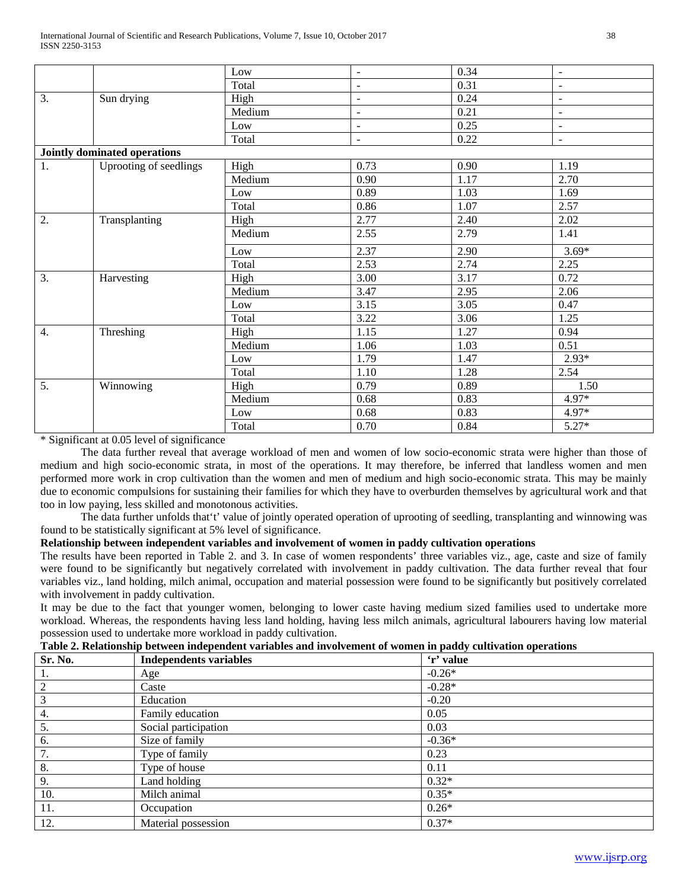|                  |                                     | Low    | $\blacksquare$           | 0.34 | $\sim$                   |
|------------------|-------------------------------------|--------|--------------------------|------|--------------------------|
|                  |                                     | Total  | $\overline{a}$           | 0.31 | $\sim$                   |
| 3.               | Sun drying                          | High   | $\overline{\phantom{a}}$ | 0.24 | $\overline{\phantom{a}}$ |
|                  |                                     | Medium | $\frac{1}{2}$            | 0.21 | $\equiv$                 |
|                  |                                     | Low    | $\overline{a}$           | 0.25 | $\blacksquare$           |
|                  |                                     | Total  | $\blacksquare$           | 0.22 | $\overline{\phantom{a}}$ |
|                  | <b>Jointly dominated operations</b> |        |                          |      |                          |
| 1.               | Uprooting of seedlings              | High   | 0.73                     | 0.90 | 1.19                     |
|                  |                                     | Medium | 0.90                     | 1.17 | 2.70                     |
|                  |                                     | Low    | 0.89                     | 1.03 | 1.69                     |
|                  |                                     | Total  | 0.86                     | 1.07 | 2.57                     |
| 2.               | Transplanting                       | High   | 2.77                     | 2.40 | 2.02                     |
|                  |                                     | Medium | 2.55                     | 2.79 | 1.41                     |
|                  |                                     | Low    | 2.37                     | 2.90 | $3.69*$                  |
|                  |                                     | Total  | 2.53                     | 2.74 | 2.25                     |
| 3.               | Harvesting                          | High   | 3.00                     | 3.17 | 0.72                     |
|                  |                                     | Medium | 3.47                     | 2.95 | 2.06                     |
|                  |                                     | Low    | 3.15                     | 3.05 | 0.47                     |
|                  |                                     | Total  | 3.22                     | 3.06 | 1.25                     |
| $\overline{4}$ . | Threshing                           | High   | 1.15                     | 1.27 | 0.94                     |
|                  |                                     | Medium | 1.06                     | 1.03 | 0.51                     |
|                  |                                     | Low    | 1.79                     | 1.47 | $2.93*$                  |
|                  |                                     | Total  | 1.10                     | 1.28 | 2.54                     |
| 5.               | Winnowing                           | High   | 0.79                     | 0.89 | 1.50                     |
|                  |                                     | Medium | 0.68                     | 0.83 | 4.97*                    |
|                  |                                     | Low    | 0.68                     | 0.83 | 4.97*                    |
|                  |                                     | Total  | 0.70                     | 0.84 | $5.27*$                  |

\* Significant at 0.05 level of significance

The data further reveal that average workload of men and women of low socio-economic strata were higher than those of medium and high socio-economic strata, in most of the operations. It may therefore, be inferred that landless women and men performed more work in crop cultivation than the women and men of medium and high socio-economic strata. This may be mainly due to economic compulsions for sustaining their families for which they have to overburden themselves by agricultural work and that too in low paying, less skilled and monotonous activities.

The data further unfolds that't' value of jointly operated operation of uprooting of seedling, transplanting and winnowing was found to be statistically significant at 5% level of significance.

# **Relationship between independent variables and involvement of women in paddy cultivation operations**

The results have been reported in Table 2. and 3. In case of women respondents' three variables viz., age, caste and size of family were found to be significantly but negatively correlated with involvement in paddy cultivation. The data further reveal that four variables viz., land holding, milch animal, occupation and material possession were found to be significantly but positively correlated with involvement in paddy cultivation.

It may be due to the fact that younger women, belonging to lower caste having medium sized families used to undertake more workload. Whereas, the respondents having less land holding, having less milch animals, agricultural labourers having low material possession used to undertake more workload in paddy cultivation.

| таріс 21 кентрліргің респесін індерендене тағырлары ана інтогенісін от понісін ін радау санттанон орстанонд |                               |           |  |  |  |
|-------------------------------------------------------------------------------------------------------------|-------------------------------|-----------|--|--|--|
| Sr. No.                                                                                                     | <b>Independents variables</b> | 'r' value |  |  |  |
| -1.                                                                                                         | Age                           | $-0.26*$  |  |  |  |
| $\overline{2}$                                                                                              | Caste                         | $-0.28*$  |  |  |  |
| 3                                                                                                           | Education                     | $-0.20$   |  |  |  |
| 4.                                                                                                          | Family education              | 0.05      |  |  |  |
| 5.                                                                                                          | Social participation          | 0.03      |  |  |  |
| 6.                                                                                                          | Size of family                | $-0.36*$  |  |  |  |
| 7.                                                                                                          | Type of family                | 0.23      |  |  |  |
| 8.                                                                                                          | Type of house                 | 0.11      |  |  |  |
| 9.                                                                                                          | Land holding                  | $0.32*$   |  |  |  |
| 10.                                                                                                         | Milch animal                  | $0.35*$   |  |  |  |
| 11.                                                                                                         | Occupation                    | $0.26*$   |  |  |  |
| 12.                                                                                                         | Material possession           | $0.37*$   |  |  |  |

| Table 2. Relationship between independent variables and involvement of women in paddy cultivation operations |  |  |
|--------------------------------------------------------------------------------------------------------------|--|--|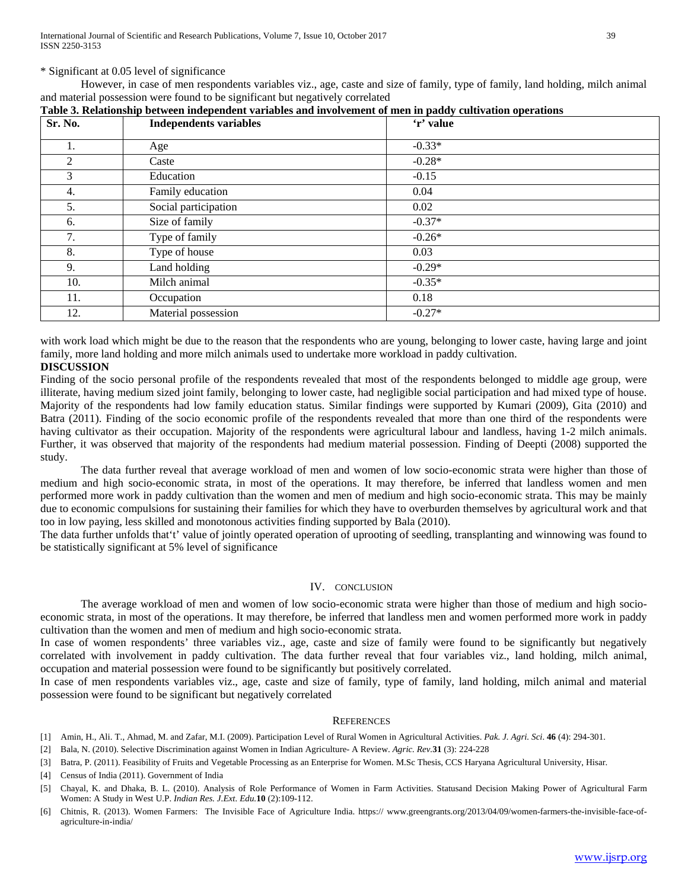\* Significant at 0.05 level of significance

However, in case of men respondents variables viz., age, caste and size of family, type of family, land holding, milch animal and material possession were found to be significant but negatively correlated

| Sr. No. | <b>Independents variables</b> | 'r' value |  |
|---------|-------------------------------|-----------|--|
|         | Age                           | $-0.33*$  |  |
| 2       | Caste                         | $-0.28*$  |  |
| 3       | Education                     | $-0.15$   |  |
| 4.      | Family education              | 0.04      |  |
| 5.      | Social participation          | 0.02      |  |
| 6.      | Size of family                | $-0.37*$  |  |
| 7.      | Type of family                | $-0.26*$  |  |
| 8.      | Type of house                 | 0.03      |  |
| 9.      | Land holding                  | $-0.29*$  |  |
| 10.     | Milch animal                  | $-0.35*$  |  |
| 11.     | Occupation                    | 0.18      |  |
| 12.     | Material possession           | $-0.27*$  |  |

## **Table 3. Relationship between independent variables and involvement of men in paddy cultivation operations**

with work load which might be due to the reason that the respondents who are young, belonging to lower caste, having large and joint family, more land holding and more milch animals used to undertake more workload in paddy cultivation.

## **DISCUSSION**

Finding of the socio personal profile of the respondents revealed that most of the respondents belonged to middle age group, were illiterate, having medium sized joint family, belonging to lower caste, had negligible social participation and had mixed type of house. Majority of the respondents had low family education status. Similar findings were supported by Kumari (2009), Gita (2010) and Batra (2011). Finding of the socio economic profile of the respondents revealed that more than one third of the respondents were having cultivator as their occupation. Majority of the respondents were agricultural labour and landless, having 1-2 milch animals. Further, it was observed that majority of the respondents had medium material possession. Finding of Deepti (2008) supported the study.

The data further reveal that average workload of men and women of low socio-economic strata were higher than those of medium and high socio-economic strata, in most of the operations. It may therefore, be inferred that landless women and men performed more work in paddy cultivation than the women and men of medium and high socio-economic strata. This may be mainly due to economic compulsions for sustaining their families for which they have to overburden themselves by agricultural work and that too in low paying, less skilled and monotonous activities finding supported by Bala (2010).

The data further unfolds that't' value of jointly operated operation of uprooting of seedling, transplanting and winnowing was found to be statistically significant at 5% level of significance

## IV. CONCLUSION

The average workload of men and women of low socio-economic strata were higher than those of medium and high socioeconomic strata, in most of the operations. It may therefore, be inferred that landless men and women performed more work in paddy cultivation than the women and men of medium and high socio-economic strata.

In case of women respondents' three variables viz., age, caste and size of family were found to be significantly but negatively correlated with involvement in paddy cultivation. The data further reveal that four variables viz., land holding, milch animal, occupation and material possession were found to be significantly but positively correlated.

In case of men respondents variables viz., age, caste and size of family, type of family, land holding, milch animal and material possession were found to be significant but negatively correlated

#### **REFERENCES**

- [1] Amin, H., Ali. T., Ahmad, M. and Zafar, M.I. (2009). Participation Level of Rural Women in Agricultural Activities. *Pak. J. Agri. Sci*. **46** (4): 294-301.
- [2] Bala, N. (2010). Selective Discrimination against Women in Indian Agriculture- A Review. *Agric. Rev.***31** (3): 224-228
- [3] Batra, P. (2011). Feasibility of Fruits and Vegetable Processing as an Enterprise for Women. M.Sc Thesis, CCS Haryana Agricultural University, Hisar.
- [4] Census of India (2011). Government of India
- [5] Chayal, K. and Dhaka, B. L. (2010). Analysis of Role Performance of Women in Farm Activities. Statusand Decision Making Power of Agricultural Farm Women: A Study in West U.P. *Indian Res. J.Ext. Edu.***10** (2):109-112.
- [6] Chitnis, R. (2013). Women Farmers: The Invisible Face of Agriculture India. https:// www.greengrants.org/2013/04/09/women-farmers-the-invisible-face-ofagriculture-in-india/